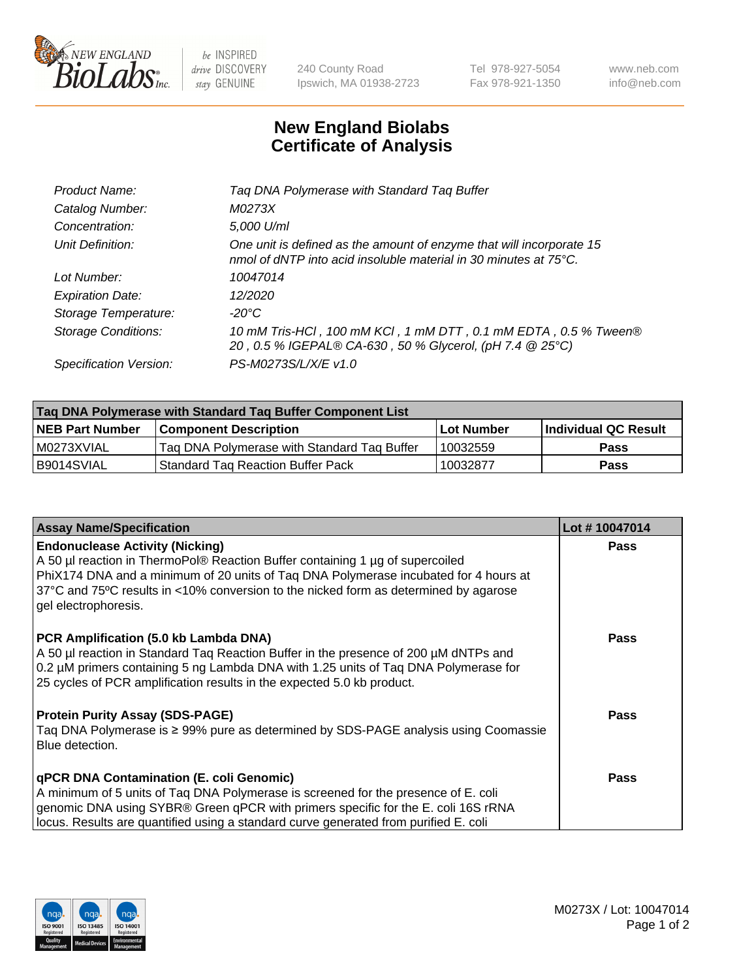

 $be$  INSPIRED drive DISCOVERY stay GENUINE

240 County Road Ipswich, MA 01938-2723 Tel 978-927-5054 Fax 978-921-1350 www.neb.com info@neb.com

## **New England Biolabs Certificate of Analysis**

| Tag DNA Polymerase with Standard Tag Buffer                                                                                              |
|------------------------------------------------------------------------------------------------------------------------------------------|
| M0273X                                                                                                                                   |
| 5,000 U/ml                                                                                                                               |
| One unit is defined as the amount of enzyme that will incorporate 15<br>nmol of dNTP into acid insoluble material in 30 minutes at 75°C. |
| 10047014                                                                                                                                 |
| 12/2020                                                                                                                                  |
| $-20^{\circ}$ C                                                                                                                          |
| 10 mM Tris-HCl, 100 mM KCl, 1 mM DTT, 0.1 mM EDTA, 0.5 % Tween®<br>20, 0.5 % IGEPAL® CA-630, 50 % Glycerol, (pH 7.4 @ 25°C)              |
| PS-M0273S/L/X/E v1.0                                                                                                                     |
|                                                                                                                                          |

| Tag DNA Polymerase with Standard Tag Buffer Component List |                                             |                   |                      |  |  |
|------------------------------------------------------------|---------------------------------------------|-------------------|----------------------|--|--|
| <b>NEB Part Number</b>                                     | <b>Component Description</b>                | <b>Lot Number</b> | Individual QC Result |  |  |
| M0273XVIAL                                                 | Tag DNA Polymerase with Standard Tag Buffer | 10032559          | <b>Pass</b>          |  |  |
| B9014SVIAL                                                 | Standard Tag Reaction Buffer Pack           | 10032877          | <b>Pass</b>          |  |  |

| <b>Assay Name/Specification</b>                                                                                                                                                                                                                                                                                                 | Lot #10047014 |
|---------------------------------------------------------------------------------------------------------------------------------------------------------------------------------------------------------------------------------------------------------------------------------------------------------------------------------|---------------|
| <b>Endonuclease Activity (Nicking)</b><br>A 50 µl reaction in ThermoPol® Reaction Buffer containing 1 µg of supercoiled<br>PhiX174 DNA and a minimum of 20 units of Tag DNA Polymerase incubated for 4 hours at<br>37°C and 75°C results in <10% conversion to the nicked form as determined by agarose<br>gel electrophoresis. | <b>Pass</b>   |
| PCR Amplification (5.0 kb Lambda DNA)<br>A 50 µl reaction in Standard Taq Reaction Buffer in the presence of 200 µM dNTPs and<br>0.2 µM primers containing 5 ng Lambda DNA with 1.25 units of Tag DNA Polymerase for<br>25 cycles of PCR amplification results in the expected 5.0 kb product.                                  | <b>Pass</b>   |
| <b>Protein Purity Assay (SDS-PAGE)</b><br>Taq DNA Polymerase is ≥ 99% pure as determined by SDS-PAGE analysis using Coomassie<br>Blue detection.                                                                                                                                                                                | Pass          |
| qPCR DNA Contamination (E. coli Genomic)<br>A minimum of 5 units of Taq DNA Polymerase is screened for the presence of E. coli<br>genomic DNA using SYBR® Green qPCR with primers specific for the E. coli 16S rRNA<br>locus. Results are quantified using a standard curve generated from purified E. coli                     | <b>Pass</b>   |